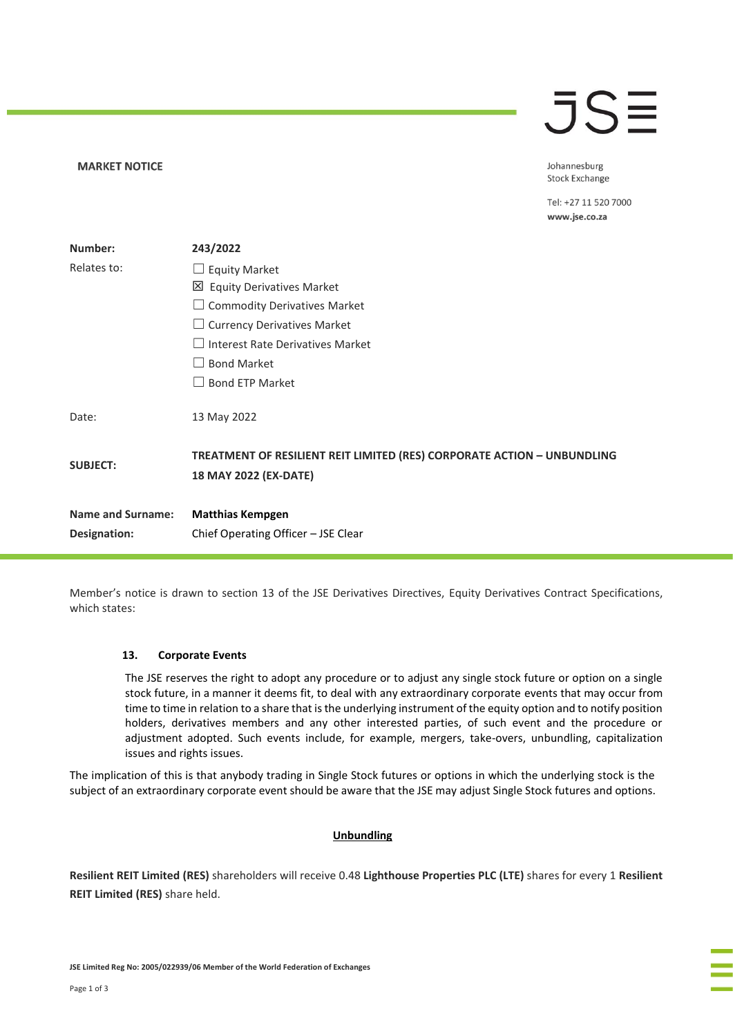# $\overline{\mathsf{J}}\mathsf{S}\mathsf{\Xi}$

Johannesburg **Stock Exchange** 

Tel: +27 11 520 7000 www.jse.co.za

| Number:                  | 243/2022                                                                                         |
|--------------------------|--------------------------------------------------------------------------------------------------|
| Relates to:              | <b>Equity Market</b>                                                                             |
|                          | 凶 Equity Derivatives Market                                                                      |
|                          | <b>Commodity Derivatives Market</b>                                                              |
|                          | <b>Currency Derivatives Market</b>                                                               |
|                          | Interest Rate Derivatives Market                                                                 |
|                          | <b>Bond Market</b>                                                                               |
|                          | <b>Bond ETP Market</b>                                                                           |
| Date:                    | 13 May 2022                                                                                      |
| <b>SUBJECT:</b>          | TREATMENT OF RESILIENT REIT LIMITED (RES) CORPORATE ACTION - UNBUNDLING<br>18 MAY 2022 (EX-DATE) |
| <b>Name and Surname:</b> | <b>Matthias Kempgen</b>                                                                          |
| Designation:             | Chief Operating Officer - JSE Clear                                                              |

Member's notice is drawn to section 13 of the JSE Derivatives Directives, Equity Derivatives Contract Specifications, which states:

## **13. Corporate Events**

**MARKET NOTICE** 

The JSE reserves the right to adopt any procedure or to adjust any single stock future or option on a single stock future, in a manner it deems fit, to deal with any extraordinary corporate events that may occur from time to time in relation to a share that is the underlying instrument of the equity option and to notify position holders, derivatives members and any other interested parties, of such event and the procedure or adjustment adopted. Such events include, for example, mergers, take-overs, unbundling, capitalization issues and rights issues.

The implication of this is that anybody trading in Single Stock futures or options in which the underlying stock is the subject of an extraordinary corporate event should be aware that the JSE may adjust Single Stock futures and options.

## **Unbundling**

**Resilient REIT Limited (RES)** shareholders will receive 0.48 **Lighthouse Properties PLC (LTE)** shares for every 1 **Resilient REIT Limited (RES)** share held.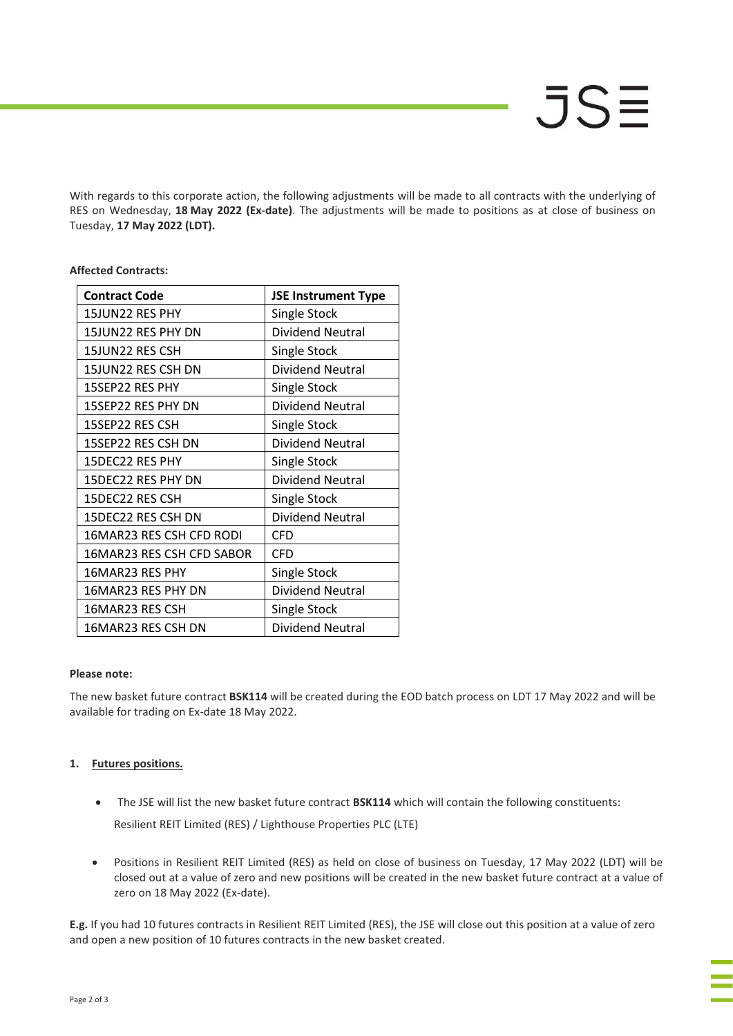With regards to this corporate action, the following adjustments will be made to all contracts with the underlying of RES on Wednesday, **18 May 2022 (Ex-date)**. The adjustments will be made to positions as at close of business on Tuesday, **17 May 2022 (LDT).**

| <b>Contract Code</b>      | <b>JSE Instrument Type</b> |
|---------------------------|----------------------------|
| 15JUN22 RES PHY           | Single Stock               |
| 15JUN22 RES PHY DN        | Dividend Neutral           |
| 15JUN22 RES CSH           | Single Stock               |
| 15JUN22 RES CSH DN        | Dividend Neutral           |
| 15SEP22 RES PHY           | Single Stock               |
| 15SEP22 RES PHY DN        | Dividend Neutral           |
| 15SEP22 RES CSH           | Single Stock               |
| 15SEP22 RES CSH DN        | Dividend Neutral           |
| 15DEC22 RES PHY           | Single Stock               |
| 15DEC22 RES PHY DN        | Dividend Neutral           |
| 15DEC22 RES CSH           | Single Stock               |
| 15DEC22 RES CSH DN        | Dividend Neutral           |
| 16MAR23 RES CSH CFD RODI  | <b>CFD</b>                 |
| 16MAR23 RES CSH CFD SABOR | <b>CFD</b>                 |
| 16MAR23 RES PHY           | Single Stock               |
| 16MAR23 RES PHY DN        | Dividend Neutral           |
| 16MAR23 RES CSH           | Single Stock               |
| 16MAR23 RES CSH DN        | Dividend Neutral           |

## **Affected Contracts:**

# **Please note:**

The new basket future contract **BSK114** will be created during the EOD batch process on LDT 17 May 2022 and will be available for trading on Ex-date 18 May 2022.

# **1. Futures positions.**

- The JSE will list the new basket future contract **BSK114** which will contain the following constituents: Resilient REIT Limited (RES) / Lighthouse Properties PLC (LTE)
- Positions in Resilient REIT Limited (RES) as held on close of business on Tuesday, 17 May 2022 (LDT) will be closed out at a value of zero and new positions will be created in the new basket future contract at a value of zero on 18 May 2022 (Ex-date).

**E.g.** If you had 10 futures contracts in Resilient REIT Limited (RES), the JSE will close out this position at a value of zero and open a new position of 10 futures contracts in the new basket created.